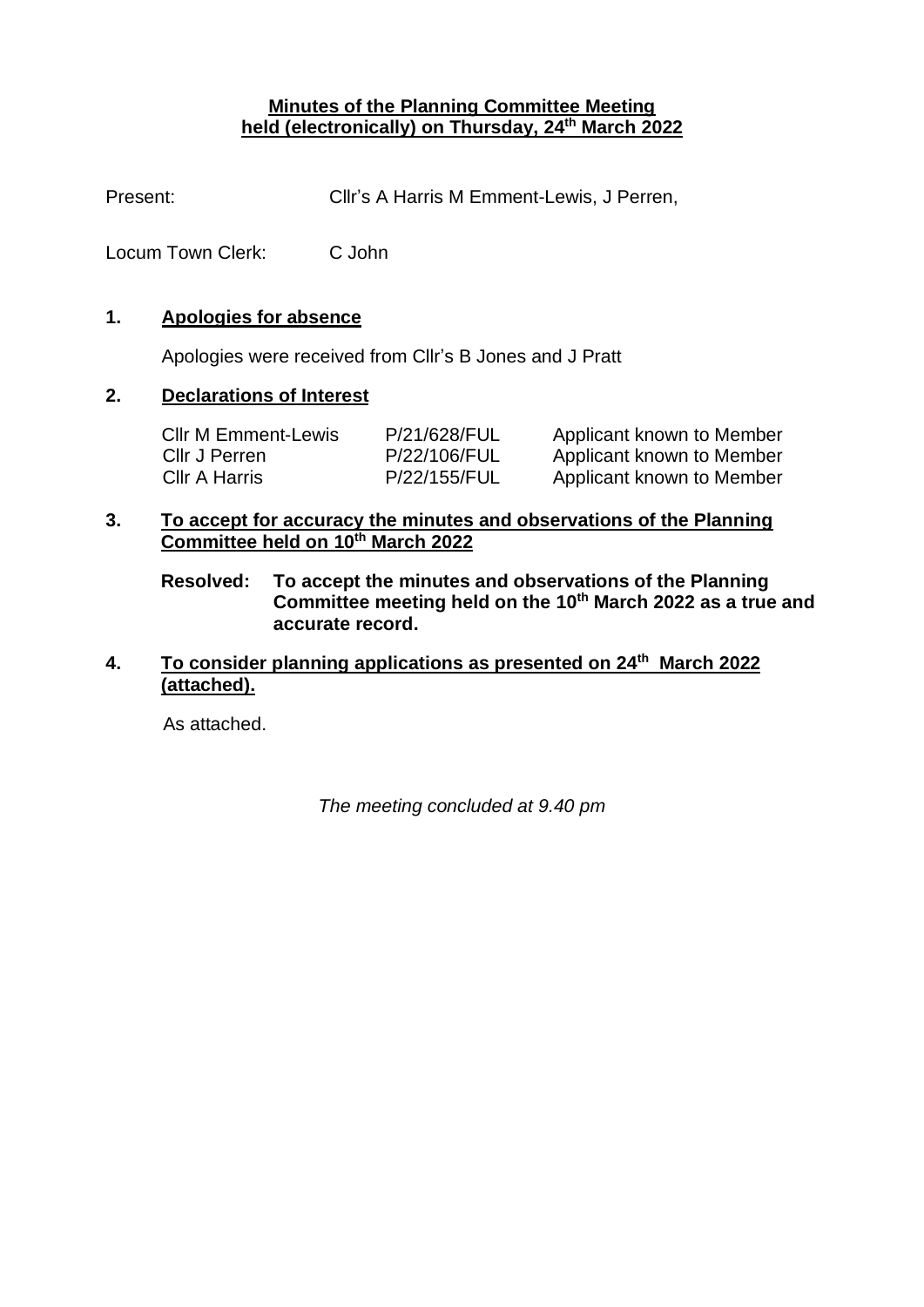## **Minutes of the Planning Committee Meeting held (electronically) on Thursday, 24th March 2022**

Present: Cllr's A Harris M Emment-Lewis, J Perren,

Locum Town Clerk: C John

## **1. Apologies for absence**

Apologies were received from Cllr's B Jones and J Pratt

# **2. Declarations of Interest**

| <b>CIIr M Emment-Lewis</b> | P/21/628/FUL | Applicant known to Member |
|----------------------------|--------------|---------------------------|
| Cllr J Perren              | P/22/106/FUL | Applicant known to Member |
| Cllr A Harris              | P/22/155/FUL | Applicant known to Member |

### **3. To accept for accuracy the minutes and observations of the Planning Committee held on 10th March 2022**

**Resolved: To accept the minutes and observations of the Planning Committee meeting held on the 10th March 2022 as a true and accurate record.**

# **4. To consider planning applications as presented on 24th March 2022 (attached).**

As attached.

*The meeting concluded at 9.40 pm*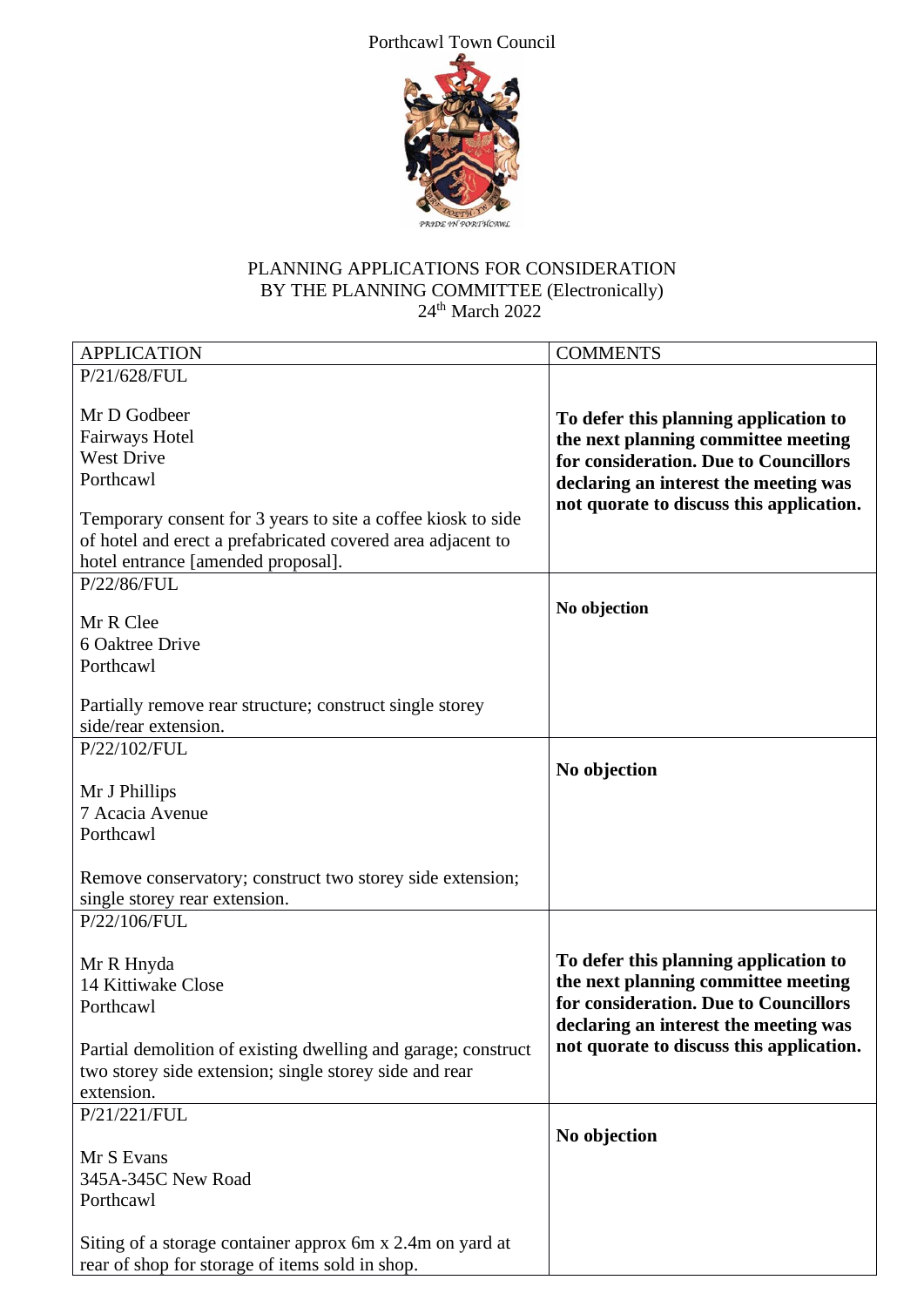Porthcawl Town Council



# PLANNING APPLICATIONS FOR CONSIDERATION BY THE PLANNING COMMITTEE (Electronically) 24<sup>th</sup> March 2022

| <b>APPLICATION</b>                                                                                                                                                                                                                           | <b>COMMENTS</b>                                                                                                                                                                                            |
|----------------------------------------------------------------------------------------------------------------------------------------------------------------------------------------------------------------------------------------------|------------------------------------------------------------------------------------------------------------------------------------------------------------------------------------------------------------|
| P/21/628/FUL                                                                                                                                                                                                                                 |                                                                                                                                                                                                            |
| Mr D Godbeer<br><b>Fairways Hotel</b><br><b>West Drive</b><br>Porthcawl<br>Temporary consent for 3 years to site a coffee kiosk to side<br>of hotel and erect a prefabricated covered area adjacent to<br>hotel entrance [amended proposal]. | To defer this planning application to<br>the next planning committee meeting<br>for consideration. Due to Councillors<br>declaring an interest the meeting was<br>not quorate to discuss this application. |
| P/22/86/FUL                                                                                                                                                                                                                                  |                                                                                                                                                                                                            |
| Mr R Clee<br>6 Oaktree Drive<br>Porthcawl                                                                                                                                                                                                    | No objection                                                                                                                                                                                               |
| Partially remove rear structure; construct single storey                                                                                                                                                                                     |                                                                                                                                                                                                            |
| side/rear extension.                                                                                                                                                                                                                         |                                                                                                                                                                                                            |
| P/22/102/FUL                                                                                                                                                                                                                                 |                                                                                                                                                                                                            |
| Mr J Phillips<br>7 Acacia Avenue<br>Porthcawl<br>Remove conservatory; construct two storey side extension;<br>single storey rear extension.                                                                                                  | No objection                                                                                                                                                                                               |
| P/22/106/FUL                                                                                                                                                                                                                                 |                                                                                                                                                                                                            |
| Mr R Hnyda<br>14 Kittiwake Close<br>Porthcawl<br>Partial demolition of existing dwelling and garage; construct<br>two storey side extension; single storey side and rear                                                                     | To defer this planning application to<br>the next planning committee meeting<br>for consideration. Due to Councillors<br>declaring an interest the meeting was<br>not quorate to discuss this application. |
| extension.                                                                                                                                                                                                                                   |                                                                                                                                                                                                            |
| P/21/221/FUL<br>Mr S Evans<br>345A-345C New Road<br>Porthcawl                                                                                                                                                                                | No objection                                                                                                                                                                                               |
| Siting of a storage container approx 6m x 2.4m on yard at<br>rear of shop for storage of items sold in shop.                                                                                                                                 |                                                                                                                                                                                                            |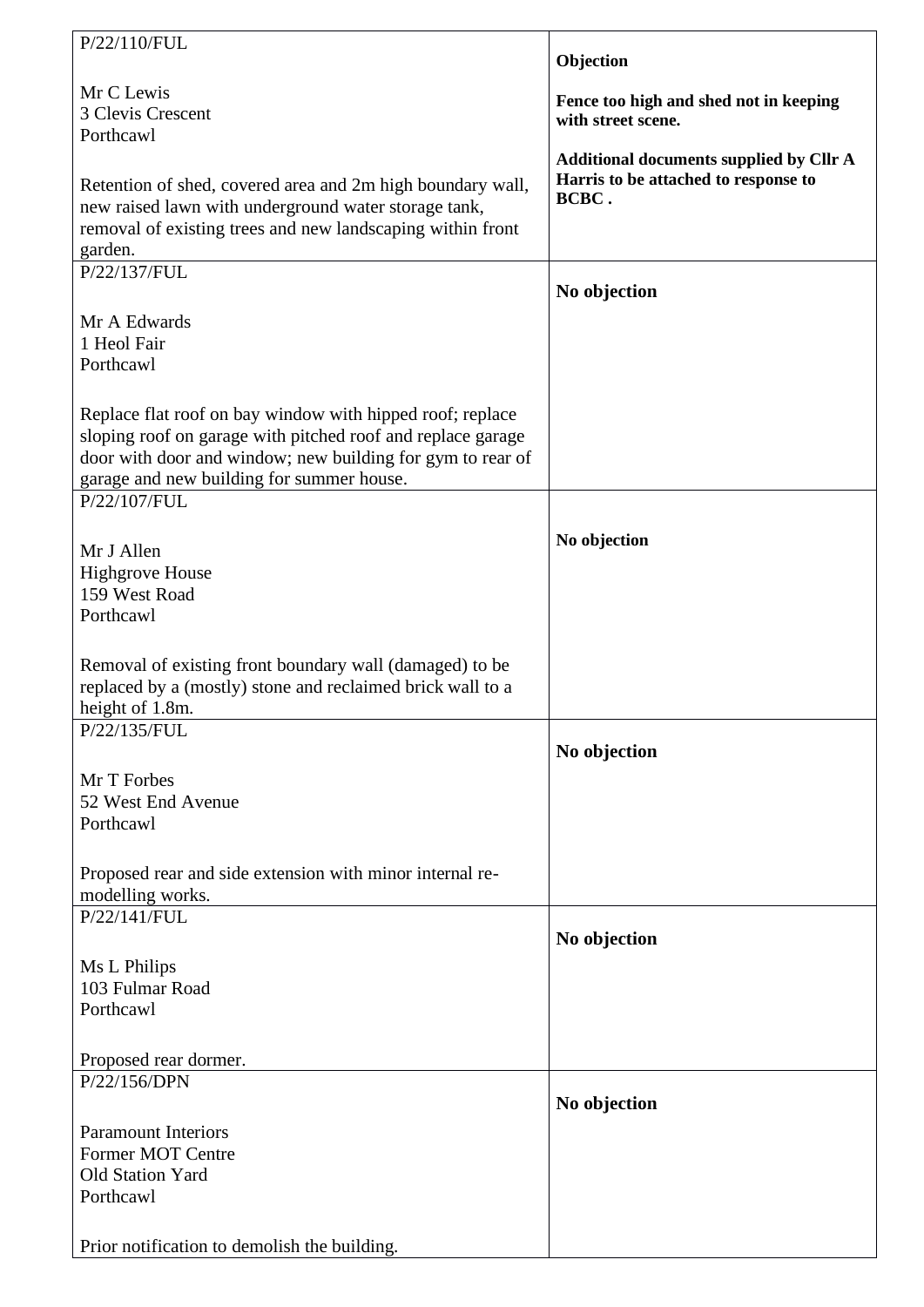| P/22/110/FUL                                                |                                                              |
|-------------------------------------------------------------|--------------------------------------------------------------|
|                                                             | Objection                                                    |
| Mr C Lewis                                                  |                                                              |
| 3 Clevis Crescent                                           | Fence too high and shed not in keeping<br>with street scene. |
| Porthcawl                                                   |                                                              |
|                                                             | <b>Additional documents supplied by Cllr A</b>               |
| Retention of shed, covered area and 2m high boundary wall,  | Harris to be attached to response to                         |
| new raised lawn with underground water storage tank,        | BCBC.                                                        |
| removal of existing trees and new landscaping within front  |                                                              |
| garden.                                                     |                                                              |
| P/22/137/FUL                                                |                                                              |
|                                                             | No objection                                                 |
| Mr A Edwards                                                |                                                              |
| 1 Heol Fair                                                 |                                                              |
| Porthcawl                                                   |                                                              |
|                                                             |                                                              |
| Replace flat roof on bay window with hipped roof; replace   |                                                              |
| sloping roof on garage with pitched roof and replace garage |                                                              |
| door with door and window; new building for gym to rear of  |                                                              |
| garage and new building for summer house.<br>P/22/107/FUL   |                                                              |
|                                                             |                                                              |
|                                                             | No objection                                                 |
| Mr J Allen                                                  |                                                              |
| <b>Highgrove House</b><br>159 West Road                     |                                                              |
| Porthcawl                                                   |                                                              |
|                                                             |                                                              |
| Removal of existing front boundary wall (damaged) to be     |                                                              |
| replaced by a (mostly) stone and reclaimed brick wall to a  |                                                              |
| height of 1.8m.                                             |                                                              |
| P/22/135/FUL                                                |                                                              |
|                                                             | No objection                                                 |
| Mr T Forbes                                                 |                                                              |
| 52 West End Avenue                                          |                                                              |
| Porthcawl                                                   |                                                              |
|                                                             |                                                              |
| Proposed rear and side extension with minor internal re-    |                                                              |
| modelling works.                                            |                                                              |
| P/22/141/FUL                                                |                                                              |
|                                                             | No objection                                                 |
| Ms L Philips                                                |                                                              |
| 103 Fulmar Road                                             |                                                              |
| Porthcawl                                                   |                                                              |
|                                                             |                                                              |
| Proposed rear dormer.                                       |                                                              |
| P/22/156/DPN                                                |                                                              |
|                                                             | No objection                                                 |
| <b>Paramount Interiors</b>                                  |                                                              |
| Former MOT Centre                                           |                                                              |
| Old Station Yard                                            |                                                              |
| Porthcawl                                                   |                                                              |
|                                                             |                                                              |
| Prior notification to demolish the building.                |                                                              |